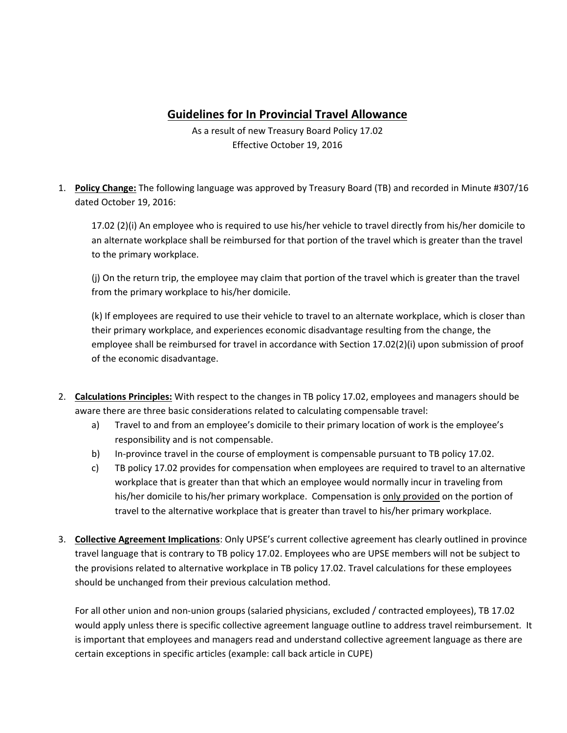## **Guidelines for In Provincial Travel Allowance**

As a result of new Treasury Board Policy 17.02 Effective October 19, 2016

1. **Policy Change:** The following language was approved by Treasury Board (TB) and recorded in Minute #307/16 dated October 19, 2016:

17.02 (2)(i) An employee who is required to use his/her vehicle to travel directly from his/her domicile to an alternate workplace shall be reimbursed for that portion of the travel which is greater than the travel to the primary workplace.

(j) On the return trip, the employee may claim that portion of the travel which is greater than the travel from the primary workplace to his/her domicile.

(k) If employees are required to use their vehicle to travel to an alternate workplace, which is closer than their primary workplace, and experiences economic disadvantage resulting from the change, the employee shall be reimbursed for travel in accordance with Section 17.02(2)(i) upon submission of proof of the economic disadvantage.

- 2. **Calculations Principles:** With respect to the changes in TB policy 17.02, employees and managers should be aware there are three basic considerations related to calculating compensable travel:
	- a) Travel to and from an employee's domicile to their primary location of work is the employee's responsibility and is not compensable.
	- b) In-province travel in the course of employment is compensable pursuant to TB policy 17.02.
	- c) TB policy 17.02 provides for compensation when employees are required to travel to an alternative workplace that is greater than that which an employee would normally incur in traveling from his/her domicile to his/her primary workplace. Compensation is only provided on the portion of travel to the alternative workplace that is greater than travel to his/her primary workplace.
- 3. **Collective Agreement Implications**: Only UPSE's current collective agreement has clearly outlined in province travel language that is contrary to TB policy 17.02. Employees who are UPSE members will not be subject to the provisions related to alternative workplace in TB policy 17.02. Travel calculations for these employees should be unchanged from their previous calculation method.

For all other union and non-union groups (salaried physicians, excluded / contracted employees), TB 17.02 would apply unless there is specific collective agreement language outline to address travel reimbursement. It is important that employees and managers read and understand collective agreement language as there are certain exceptions in specific articles (example: call back article in CUPE)